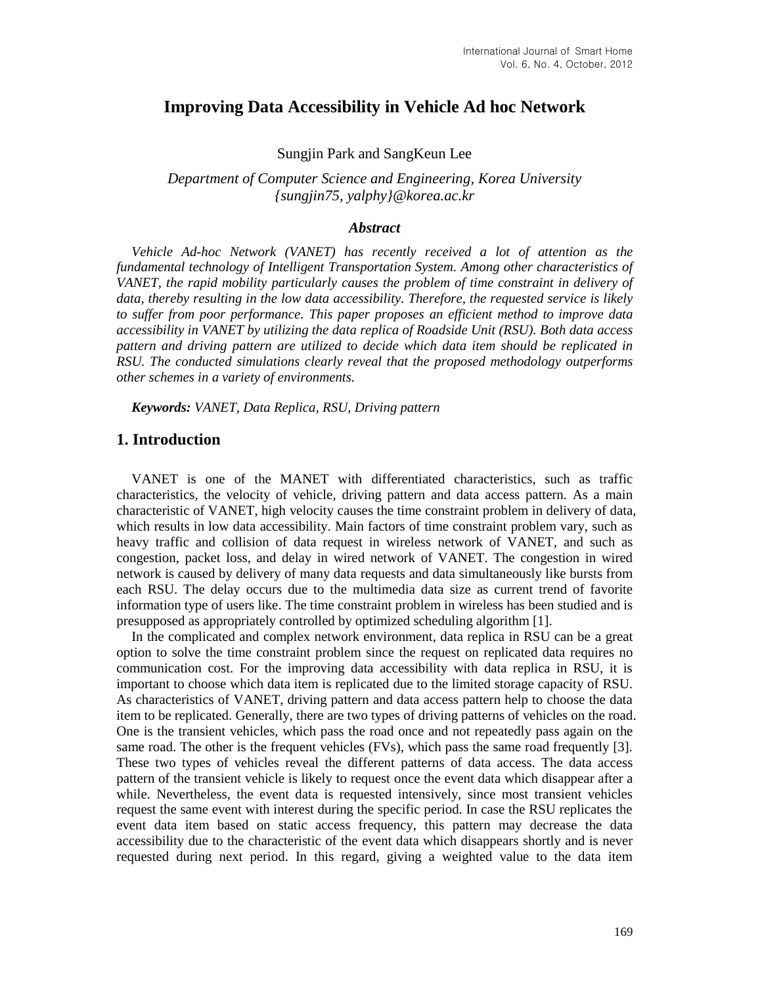# **Improving Data Accessibility in Vehicle Ad hoc Network**

#### Sungjin Park and SangKeun Lee

*Department of Computer Science and Engineering, Korea University {sungjin75, yalphy}@korea.ac.kr*

### *Abstract*

*Vehicle Ad-hoc Network (VANET) has recently received a lot of attention as the fundamental technology of Intelligent Transportation System. Among other characteristics of VANET, the rapid mobility particularly causes the problem of time constraint in delivery of data, thereby resulting in the low data accessibility. Therefore, the requested service is likely to suffer from poor performance. This paper proposes an efficient method to improve data accessibility in VANET by utilizing the data replica of Roadside Unit (RSU). Both data access pattern and driving pattern are utilized to decide which data item should be replicated in RSU. The conducted simulations clearly reveal that the proposed methodology outperforms other schemes in a variety of environments.*

*Keywords: VANET, Data Replica, RSU, Driving pattern*

### **1. Introduction**

VANET is one of the MANET with differentiated characteristics, such as traffic characteristics, the velocity of vehicle, driving pattern and data access pattern. As a main characteristic of VANET, high velocity causes the time constraint problem in delivery of data, which results in low data accessibility. Main factors of time constraint problem vary, such as heavy traffic and collision of data request in wireless network of VANET, and such as congestion, packet loss, and delay in wired network of VANET. The congestion in wired network is caused by delivery of many data requests and data simultaneously like bursts from each RSU. The delay occurs due to the multimedia data size as current trend of favorite information type of users like. The time constraint problem in wireless has been studied and is presupposed as appropriately controlled by optimized scheduling algorithm [1].

In the complicated and complex network environment, data replica in RSU can be a great option to solve the time constraint problem since the request on replicated data requires no communication cost. For the improving data accessibility with data replica in RSU, it is important to choose which data item is replicated due to the limited storage capacity of RSU. As characteristics of VANET, driving pattern and data access pattern help to choose the data item to be replicated. Generally, there are two types of driving patterns of vehicles on the road. One is the transient vehicles, which pass the road once and not repeatedly pass again on the same road. The other is the frequent vehicles (FVs), which pass the same road frequently [3]. These two types of vehicles reveal the different patterns of data access. The data access pattern of the transient vehicle is likely to request once the event data which disappear after a while. Nevertheless, the event data is requested intensively, since most transient vehicles request the same event with interest during the specific period. In case the RSU replicates the event data item based on static access frequency, this pattern may decrease the data accessibility due to the characteristic of the event data which disappears shortly and is never requested during next period. In this regard, giving a weighted value to the data item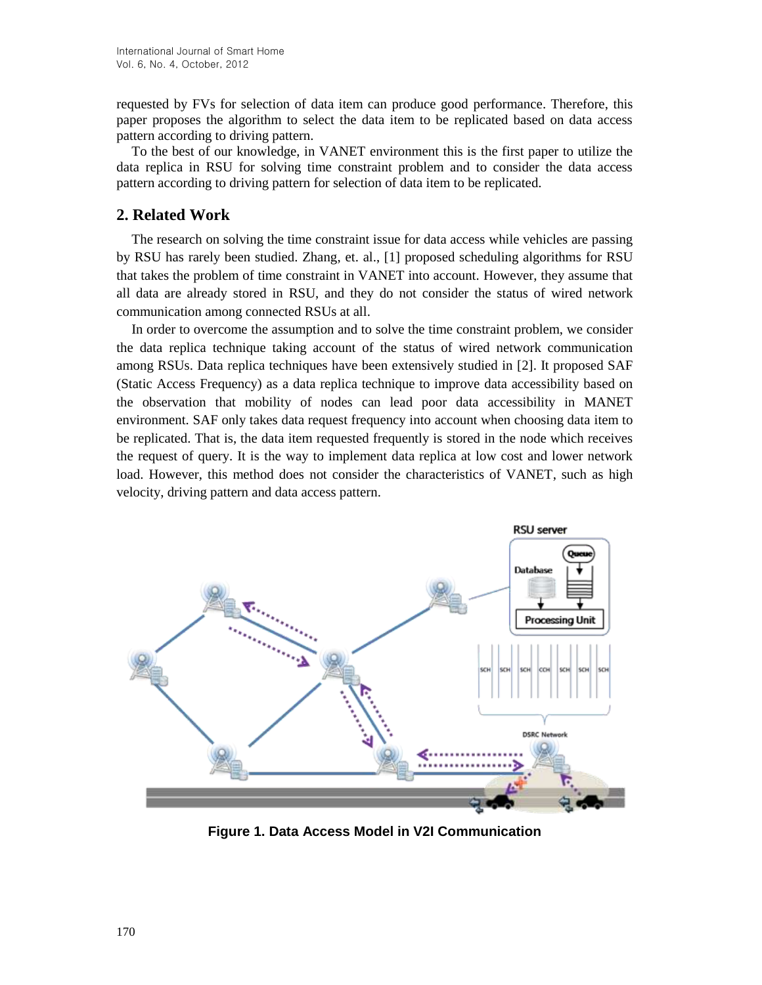requested by FVs for selection of data item can produce good performance. Therefore, this paper proposes the algorithm to select the data item to be replicated based on data access pattern according to driving pattern.

To the best of our knowledge, in VANET environment this is the first paper to utilize the data replica in RSU for solving time constraint problem and to consider the data access pattern according to driving pattern for selection of data item to be replicated.

## **2. Related Work**

The research on solving the time constraint issue for data access while vehicles are passing by RSU has rarely been studied. Zhang, et. al., [1] proposed scheduling algorithms for RSU that takes the problem of time constraint in VANET into account. However, they assume that all data are already stored in RSU, and they do not consider the status of wired network communication among connected RSUs at all.

In order to overcome the assumption and to solve the time constraint problem, we consider the data replica technique taking account of the status of wired network communication among RSUs. Data replica techniques have been extensively studied in [2]. It proposed SAF (Static Access Frequency) as a data replica technique to improve data accessibility based on the observation that mobility of nodes can lead poor data accessibility in MANET environment. SAF only takes data request frequency into account when choosing data item to be replicated. That is, the data item requested frequently is stored in the node which receives the request of query. It is the way to implement data replica at low cost and lower network load. However, this method does not consider the characteristics of VANET, such as high velocity, driving pattern and data access pattern.



**Figure 1. Data Access Model in V2I Communication**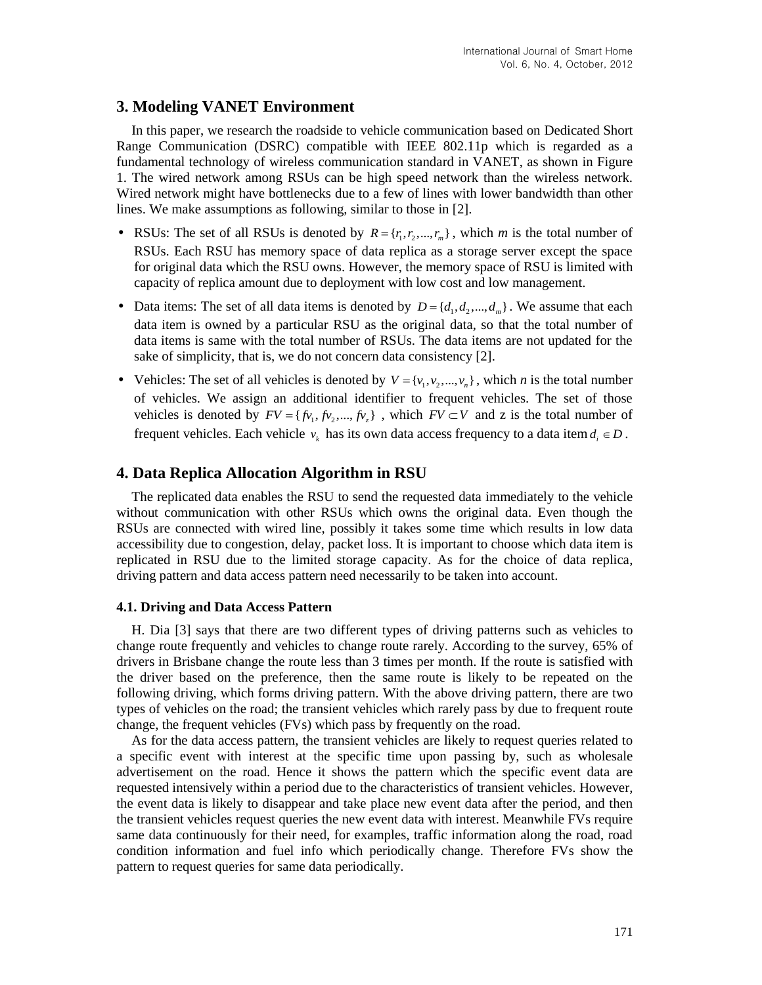## **3. Modeling VANET Environment**

In this paper, we research the roadside to vehicle communication based on Dedicated Short Range Communication (DSRC) compatible with IEEE 802.11p which is regarded as a fundamental technology of wireless communication standard in VANET, as shown in Figure 1. The wired network among RSUs can be high speed network than the wireless network. Wired network might have bottlenecks due to a few of lines with lower bandwidth than other lines. We make assumptions as following, similar to those in [2].

- RSUs: The set of all RSUs is denoted by  $R = \{r_1, r_2, ..., r_m\}$ , which *m* is the total number of RSUs. Each RSU has memory space of data replica as a storage server except the space for original data which the RSU owns. However, the memory space of RSU is limited with capacity of replica amount due to deployment with low cost and low management.
- Data items: The set of all data items is denoted by  $D = \{d_1, d_2, ..., d_m\}$ . We assume that each data item is owned by a particular RSU as the original data, so that the total number of data items is same with the total number of RSUs. The data items are not updated for the sake of simplicity, that is, we do not concern data consistency [2].
- Vehicles: The set of all vehicles is denoted by  $V = \{v_1, v_2, ..., v_n\}$ , which *n* is the total number of vehicles. We assign an additional identifier to frequent vehicles. The set of those vehicles is denoted by  $FV = \{fv_1, fv_2, ..., fv_{z}\}\$ , which  $FV \subset V$  and z is the total number of frequent vehicles. Each vehicle  $v_k$  has its own data access frequency to a data item  $d_i \in D$ .

# **4. Data Replica Allocation Algorithm in RSU**

The replicated data enables the RSU to send the requested data immediately to the vehicle without communication with other RSUs which owns the original data. Even though the RSUs are connected with wired line, possibly it takes some time which results in low data accessibility due to congestion, delay, packet loss. It is important to choose which data item is replicated in RSU due to the limited storage capacity. As for the choice of data replica, driving pattern and data access pattern need necessarily to be taken into account.

### **4.1. Driving and Data Access Pattern**

H. Dia [3] says that there are two different types of driving patterns such as vehicles to change route frequently and vehicles to change route rarely. According to the survey, 65% of drivers in Brisbane change the route less than 3 times per month. If the route is satisfied with the driver based on the preference, then the same route is likely to be repeated on the following driving, which forms driving pattern. With the above driving pattern, there are two types of vehicles on the road; the transient vehicles which rarely pass by due to frequent route change, the frequent vehicles (FVs) which pass by frequently on the road.

As for the data access pattern, the transient vehicles are likely to request queries related to a specific event with interest at the specific time upon passing by, such as wholesale advertisement on the road. Hence it shows the pattern which the specific event data are requested intensively within a period due to the characteristics of transient vehicles. However, the event data is likely to disappear and take place new event data after the period, and then the transient vehicles request queries the new event data with interest. Meanwhile FVs require same data continuously for their need, for examples, traffic information along the road, road condition information and fuel info which periodically change. Therefore FVs show the pattern to request queries for same data periodically.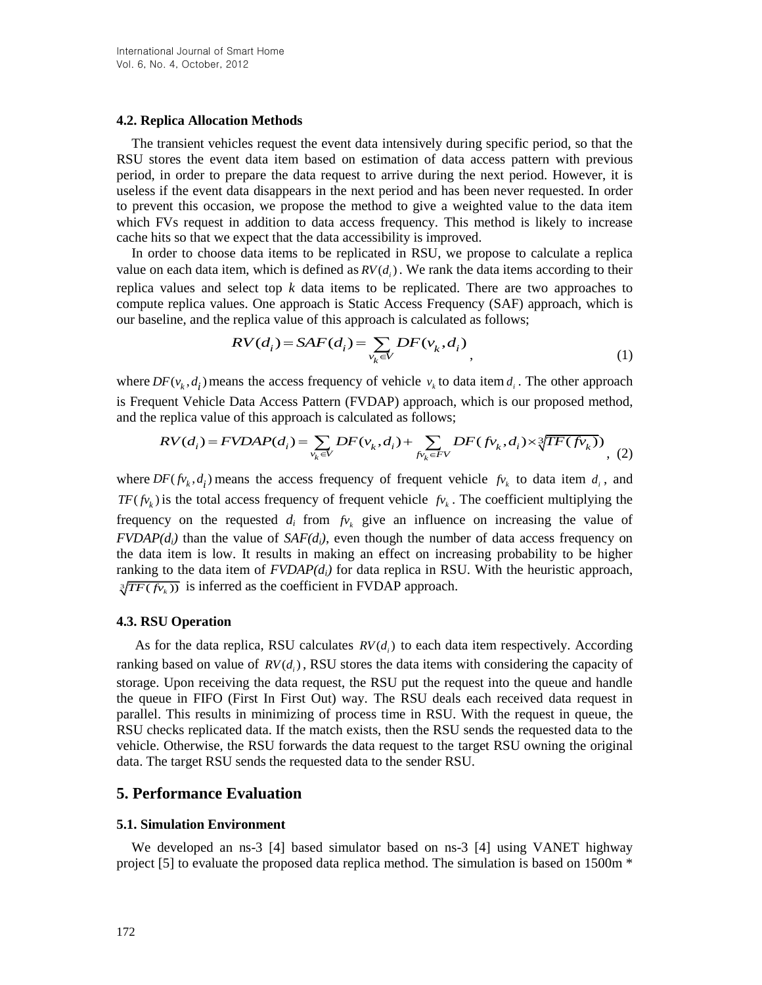#### **4.2. Replica Allocation Methods**

The transient vehicles request the event data intensively during specific period, so that the RSU stores the event data item based on estimation of data access pattern with previous period, in order to prepare the data request to arrive during the next period. However, it is useless if the event data disappears in the next period and has been never requested. In order to prevent this occasion, we propose the method to give a weighted value to the data item which FVs request in addition to data access frequency. This method is likely to increase cache hits so that we expect that the data accessibility is improved.

In order to choose data items to be replicated in RSU, we propose to calculate a replica value on each data item, which is defined as  $RV(d_i)$ . We rank the data items according to their replica values and select top *k* data items to be replicated. There are two approaches to compute replica values. One approach is Static Access Frequency (SAF) approach, which is

For example, the application of the approach is that process. The question is equivalent to the function 
$$
P
$$
 is the function  $P$  with the function  $P$  is the function  $P$  with the function  $P$  with the function  $P$  with the function  $P$  with the function  $P$  with the function  $P$  with the function  $P$  with the function  $P$  with the function  $P$  with the function  $P$  with the function  $P$  with the function  $P$  with the function  $P$  with the function  $P$  with the function  $P$  with the function  $P$  with the function  $P$  with the function  $P$  with the function  $P$  with the function  $P$  with the function  $P$  with the function  $P$  with the function  $P$  with the function  $P$  with the function  $P$  with the function  $P$  with the function  $P$  with the function  $P$  with the function  $P$  with the function  $P$  with the function  $P$  with the function  $P$  with the function  $P$  with the function  $P$  with the function  $P$  with the function  $P$  with the function  $P$  with the function  $P$  with the function  $P$  with the function  $P$  with the function  $P$  with the function  $P$  with the function  $P$  with the function  $P$  with the function  $P$  with the function  $P$  with the function  $P$  with the function  $P$  with the function  $P$  with the function  $P$  with the function  $P$  with the function  $P$  with the function  $P$  with the function  $P$  with the function  $$ 

where  $DF(v_k, d_i)$  means the access frequency of vehicle  $v_k$  to data item  $d_i$ . The other approach is Frequent Vehicle Data Access Pattern (FVDAP) approach, which is our proposed method,  $D F(v_k, d_i)$  means the access frequency of vehicle  $v_k$  to data item  $d_i$ . The other applient Vehicle Data Access Pattern (FVDAP) approach, which is our proposed me replica value of this approach is calculated as follows;<br>means the access frequency of vehicle  $v_k$  to data item  $d_i$ . The other approach<br>cle Data Access Pattern (FVDAP) approach, which is our proposed method,<br>alue of this approach is calculated as follows;<br> $= FVDAP(d_i) = \sum_{v_k \in V} DF$ 

and the replica value of this approach is calculated as follows;  
\n
$$
RV(d_i) = FVDAP(d_i) = \sum_{v_k \in V} DF(v_k, d_i) + \sum_{f v_k \in FV} DF(fv_k, d_i) \times \sqrt[3]{TF(fv_k)}
$$
\n(2)

where  $DF(fv_k, d_i)$  means the access frequency of frequent vehicle  $fv_k$  to data item  $d_i$ , and  $TF(\hat{p}_k)$  is the total access frequency of frequent vehicle  $\hat{p}_k$ . The coefficient multiplying the frequency on the requested  $d_i$  from  $f_{v_k}$  give an influence on increasing the value of  $FVDAP(d_i)$  than the value of  $SAF(d_i)$ , even though the number of data access frequency on the data item is low. It results in making an effect on increasing probability to be higher ranking to the data item of  $FVDAP(d_i)$  for data replica in RSU. With the heuristic approach,  $\sqrt[3]{TF(fv_k)}$  is inferred as the coefficient in FVDAP approach.

#### **4.3. RSU Operation**

As for the data replica, RSU calculates  $RV(d_i)$  to each data item respectively. According ranking based on value of  $RV(d_i)$ , RSU stores the data items with considering the capacity of storage. Upon receiving the data request, the RSU put the request into the queue and handle the queue in FIFO (First In First Out) way. The RSU deals each received data request in parallel. This results in minimizing of process time in RSU. With the request in queue, the RSU checks replicated data. If the match exists, then the RSU sends the requested data to the vehicle. Otherwise, the RSU forwards the data request to the target RSU owning the original data. The target RSU sends the requested data to the sender RSU.

### **5. Performance Evaluation**

#### **5.1. Simulation Environment**

We developed an ns-3 [4] based simulator based on ns-3 [4] using VANET highway project [5] to evaluate the proposed data replica method. The simulation is based on 1500m \*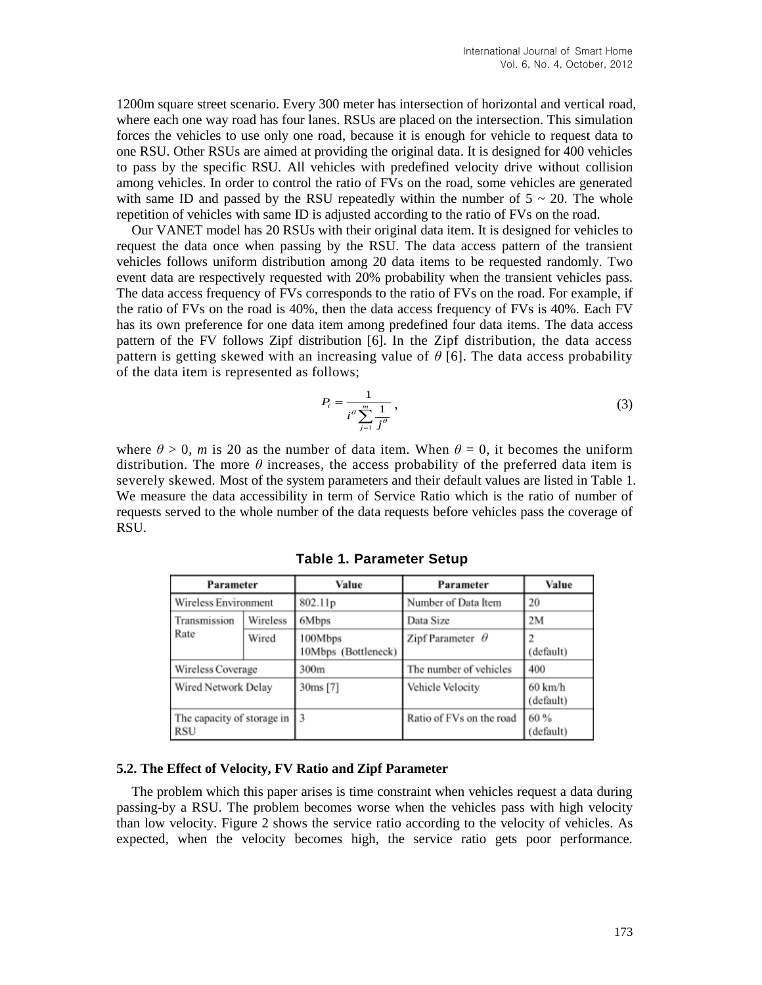1200m square street scenario. Every 300 meter has intersection of horizontal and vertical road, where each one way road has four lanes. RSUs are placed on the intersection. This simulation forces the vehicles to use only one road, because it is enough for vehicle to request data to one RSU. Other RSUs are aimed at providing the original data. It is designed for 400 vehicles to pass by the specific RSU. All vehicles with predefined velocity drive without collision among vehicles. In order to control the ratio of FVs on the road, some vehicles are generated with same ID and passed by the RSU repeatedly within the number of  $5 \sim 20$ . The whole repetition of vehicles with same ID is adjusted according to the ratio of FVs on the road.

Our VANET model has 20 RSUs with their original data item. It is designed for vehicles to request the data once when passing by the RSU. The data access pattern of the transient vehicles follows uniform distribution among 20 data items to be requested randomly. Two event data are respectively requested with 20% probability when the transient vehicles pass. The data access frequency of FVs corresponds to the ratio of FVs on the road. For example, if the ratio of FVs on the road is 40%, then the data access frequency of FVs is 40%. Each FV has its own preference for one data item among predefined four data items. The data access pattern of the FV follows Zipf distribution [6]. In the Zipf distribution, the data access pattern is getting skewed with an increasing value of  $\theta$  [6]. The data access probability of the data item is represented as follows;

$$
P_i = \frac{1}{i^{\theta} \sum_{j=1}^{m} \frac{1}{j^{\theta}}},
$$
\n(3)

where  $\theta > 0$ , *m* is 20 as the number of data item. When  $\theta = 0$ , it becomes the uniform distribution. The more  $\theta$  increases, the access probability of the preferred data item is severely skewed. Most of the system parameters and their default values are listed in Table 1. We measure the data accessibility in term of Service Ratio which is the ratio of number of requests served to the whole number of the data requests before vehicles pass the coverage of RSU.

| Parameter                         |          | Value                          | Parameter                | Value                          |
|-----------------------------------|----------|--------------------------------|--------------------------|--------------------------------|
| Wireless Environment              |          | 802.11p                        | Number of Data Item      | 20                             |
| Transmission<br>Rate              | Wireless | 6Mbps                          | Data Size                | 2M                             |
|                                   | Wired    | 100Mbps<br>10Mbps (Bottleneck) | Zipf Parameter $\theta$  | (default)                      |
| Wireless Coverage                 |          | 300m                           | The number of vehicles   | 400                            |
| Wired Network Delay               |          | 30ms [7]                       | Vehicle Velocity         | $60 \text{ km/h}$<br>(default) |
| The capacity of storage in<br>RSU |          |                                | Ratio of FVs on the road | 60 %<br>(default)              |

**Table 1. Parameter Setup**

#### **5.2. The Effect of Velocity, FV Ratio and Zipf Parameter**

The problem which this paper arises is time constraint when vehicles request a data during passing-by a RSU. The problem becomes worse when the vehicles pass with high velocity than low velocity. Figure 2 shows the service ratio according to the velocity of vehicles. As expected, when the velocity becomes high, the service ratio gets poor performance.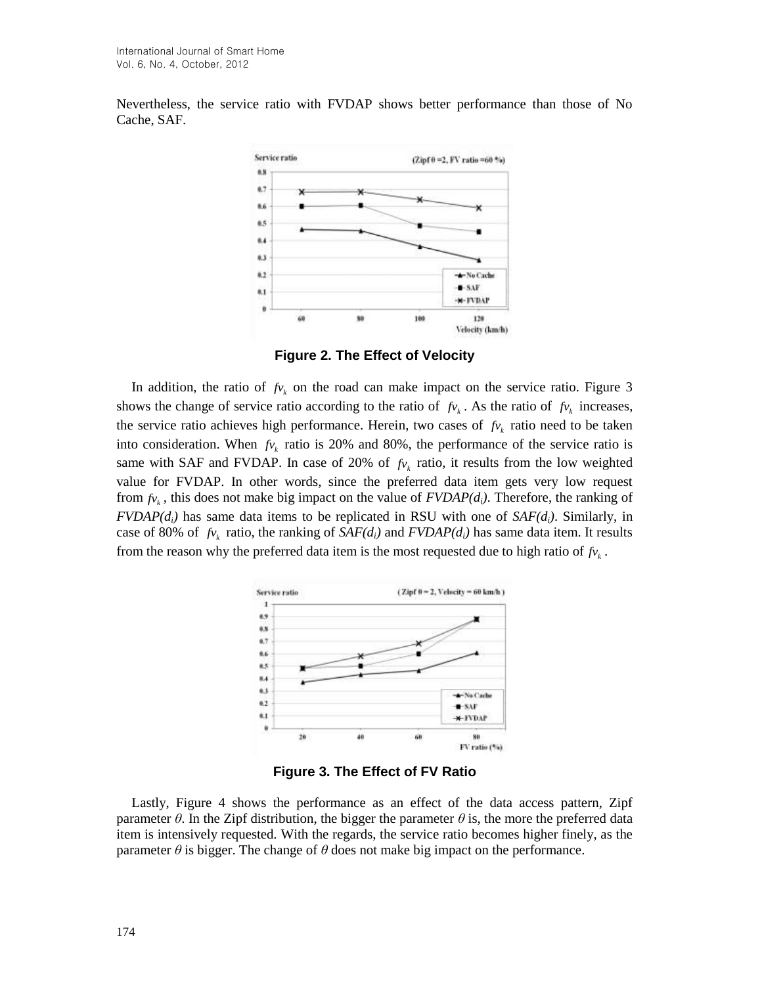Nevertheless, the service ratio with FVDAP shows better performance than those of No Cache, SAF.



**Figure 2. The Effect of Velocity**

In addition, the ratio of  $f_{v_k}$  on the road can make impact on the service ratio. Figure 3 shows the change of service ratio according to the ratio of  $f_{v_k}$ . As the ratio of  $f_{v_k}$  increases, the service ratio achieves high performance. Herein, two cases of  $f_{v_k}$  ratio need to be taken into consideration. When  $f_{v_k}$  ratio is 20% and 80%, the performance of the service ratio is same with SAF and FVDAP. In case of 20% of  $f_{v_k}$  ratio, it results from the low weighted value for FVDAP. In other words, since the preferred data item gets very low request from  $f_{V_k}$ , this does not make big impact on the value of  $FVDAP(d_i)$ . Therefore, the ranking of  $FVDAP(d_i)$  has same data items to be replicated in RSU with one of  $SAF(d_i)$ . Similarly, in case of 80% of  $f_{V_k}$  ratio, the ranking of  $SAF(d_i)$  and  $FVDAP(d_i)$  has same data item. It results from the reason why the preferred data item is the most requested due to high ratio of  $f_{v_k}$ .



**Figure 3. The Effect of FV Ratio**

Lastly, Figure 4 shows the performance as an effect of the data access pattern, Zipf parameter  $\theta$ . In the Zipf distribution, the bigger the parameter  $\theta$  is, the more the preferred data item is intensively requested. With the regards, the service ratio becomes higher finely, as the parameter  $\theta$  is bigger. The change of  $\theta$  does not make big impact on the performance.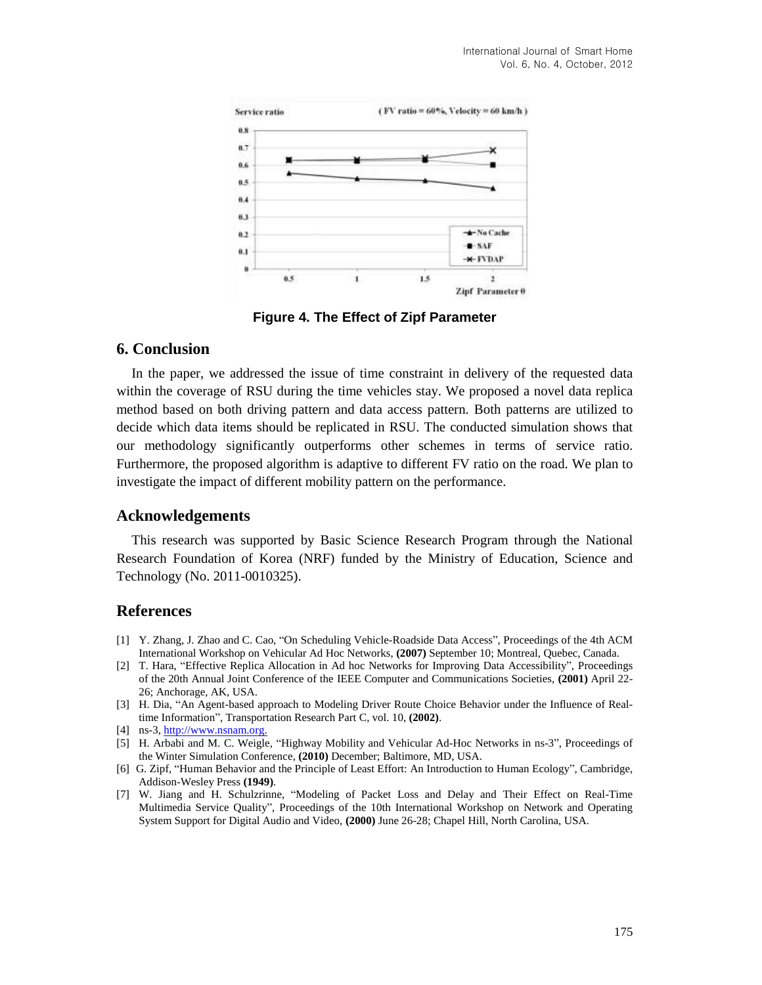

**Figure 4. The Effect of Zipf Parameter**

### **6. Conclusion**

In the paper, we addressed the issue of time constraint in delivery of the requested data within the coverage of RSU during the time vehicles stay. We proposed a novel data replica method based on both driving pattern and data access pattern. Both patterns are utilized to decide which data items should be replicated in RSU. The conducted simulation shows that our methodology significantly outperforms other schemes in terms of service ratio. Furthermore, the proposed algorithm is adaptive to different FV ratio on the road. We plan to investigate the impact of different mobility pattern on the performance.

## **Acknowledgements**

This research was supported by Basic Science Research Program through the National Research Foundation of Korea (NRF) funded by the Ministry of Education, Science and Technology (No. 2011-0010325).

## **References**

- [1] Y. Zhang, J. Zhao and C. Cao, "On Scheduling Vehicle-Roadside Data Access", Proceedings of the 4th ACM International Workshop on Vehicular Ad Hoc Networks, **(2007)** September 10; Montreal, Quebec, Canada.
- [2] T. Hara, "Effective Replica Allocation in Ad hoc Networks for Improving Data Accessibility", Proceedings of the 20th Annual Joint Conference of the IEEE Computer and Communications Societies, **(2001)** April 22- 26; Anchorage, AK, USA.
- [3] H. Dia, "An Agent-based approach to Modeling Driver Route Choice Behavior under the Influence of Realtime Information", Transportation Research Part C, vol. 10, **(2002)**.
- [4] ns-3[, http://www.nsnam.org.](http://www.nsnam.org/)
- [5] H. Arbabi and M. C. Weigle, "Highway Mobility and Vehicular Ad-Hoc Networks in ns-3", Proceedings of the Winter Simulation Conference, **(2010)** December; Baltimore, MD, USA.
- [6] G. Zipf, "Human Behavior and the Principle of Least Effort: An Introduction to Human Ecology", Cambridge, Addison-Wesley Press **(1949)**.
- [7] W. Jiang and H. Schulzrinne, "Modeling of Packet Loss and Delay and Their Effect on Real-Time Multimedia Service Quality", Proceedings of the 10th International Workshop on Network and Operating System Support for Digital Audio and Video, **(2000)** June 26-28; Chapel Hill, North Carolina, USA.